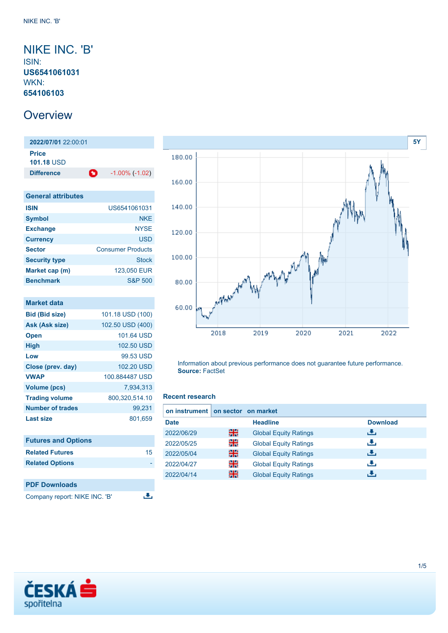## <span id="page-0-0"></span>NIKE INC. 'B' ISIN: **US6541061031** WKN: **654106103**

# **Overview**

**2022/07/01** 22:00:01 **Price 101.18** USD **Difference 1.00% (-1.02)** 

| <b>General attributes</b> |                          |
|---------------------------|--------------------------|
| <b>ISIN</b>               | US6541061031             |
| <b>Symbol</b>             | <b>NKF</b>               |
| <b>Exchange</b>           | <b>NYSE</b>              |
| <b>Currency</b>           | <b>USD</b>               |
| <b>Sector</b>             | <b>Consumer Products</b> |
| <b>Security type</b>      | <b>Stock</b>             |
| Market cap (m)            | 123,050 EUR              |
| <b>Benchmark</b>          | <b>S&amp;P 500</b>       |

| Market data                |                  |
|----------------------------|------------------|
| <b>Bid (Bid size)</b>      | 101.18 USD (100) |
| Ask (Ask size)             | 102.50 USD (400) |
| <b>Open</b>                | 101.64 USD       |
| <b>High</b>                | 102.50 USD       |
| Low                        | 99.53 USD        |
| Close (prev. day)          | 102.20 USD       |
| <b>VWAP</b>                | 100.884487 USD   |
| Volume (pcs)               | 7.934.313        |
| <b>Trading volume</b>      | 800,320,514.10   |
| <b>Number of trades</b>    | 99,231           |
| <b>Last size</b>           | 801,659          |
|                            |                  |
| <b>Eutures and Ontione</b> |                  |

| <b>Futures and Options</b> |    |
|----------------------------|----|
| <b>Related Futures</b>     | 15 |
| <b>Related Options</b>     |    |
|                            |    |
| <b>PDF Downloads</b>       |    |

Company report: NIKE INC. 'B'



Information about previous performance does not guarantee future performance. **Source:** FactSet

### **Recent research**

رانق

| on instrument on sector on market |   |                              |                 |
|-----------------------------------|---|------------------------------|-----------------|
| <b>Date</b>                       |   | <b>Headline</b>              | <b>Download</b> |
| 2022/06/29                        | 꾊 | <b>Global Equity Ratings</b> | æ,              |
| 2022/05/25                        | 을 | <b>Global Equity Ratings</b> | æ,              |
| 2022/05/04                        | 噐 | <b>Global Equity Ratings</b> | æ,              |
| 2022/04/27                        | 을 | <b>Global Equity Ratings</b> | æ,              |
| 2022/04/14                        | 噐 | <b>Global Equity Ratings</b> | æ.              |

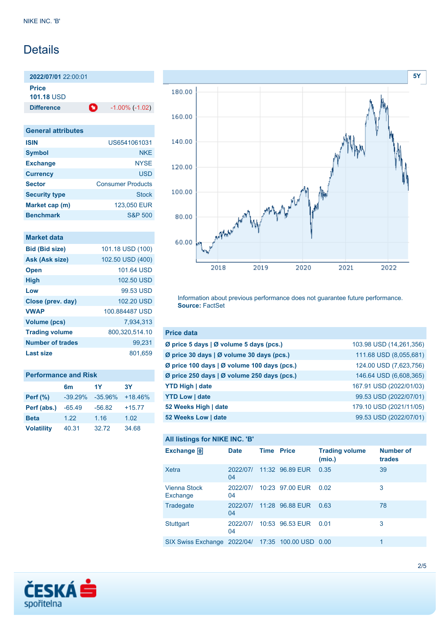# **Details**

**2022/07/01** 22:00:01 **Price**

**101.18** USD

**Difference 1.00% (-1.02)** 

| <b>General attributes</b> |                          |
|---------------------------|--------------------------|
| <b>ISIN</b>               | US6541061031             |
| <b>Symbol</b>             | <b>NKF</b>               |
| <b>Exchange</b>           | <b>NYSE</b>              |
| <b>Currency</b>           | <b>USD</b>               |
| <b>Sector</b>             | <b>Consumer Products</b> |
| <b>Security type</b>      | Stock                    |
| Market cap (m)            | 123,050 EUR              |
| <b>Benchmark</b>          | <b>S&amp;P 500</b>       |

| Market data             |                  |
|-------------------------|------------------|
| <b>Bid (Bid size)</b>   | 101.18 USD (100) |
| <b>Ask (Ask size)</b>   | 102.50 USD (400) |
| <b>Open</b>             | 101.64 USD       |
| <b>High</b>             | 102.50 USD       |
| Low                     | 99.53 USD        |
| Close (prev. day)       | 102.20 USD       |
| <b>VWAP</b>             | 100.884487 USD   |
| Volume (pcs)            | 7.934.313        |
| <b>Trading volume</b>   | 800,320,514.10   |
| <b>Number of trades</b> | 99.231           |
| Last size               | 801,659          |
|                         |                  |

| <b>Performance and Risk</b> |                |           |           |  |
|-----------------------------|----------------|-----------|-----------|--|
|                             | 6 <sub>m</sub> | 1Y        | <b>3Y</b> |  |
| <b>Perf (%)</b>             | $-39.29%$      | $-35.96%$ | $+18.46%$ |  |
| Perf (abs.)                 | $-65.49$       | $-56.82$  | $+15.77$  |  |
| <b>Beta</b>                 | 1.22           | 1.16      | 1.02      |  |
| <b>Volatility</b>           | 40.31          | 32.72     | 34.68     |  |



Information about previous performance does not guarantee future performance. **Source:** FactSet

| <b>Price data</b>                           |                         |
|---------------------------------------------|-------------------------|
| Ø price 5 days   Ø volume 5 days (pcs.)     | 103.98 USD (14,261,356) |
| Ø price 30 days   Ø volume 30 days (pcs.)   | 111.68 USD (8,055,681)  |
| Ø price 100 days   Ø volume 100 days (pcs.) | 124.00 USD (7,623,756)  |
| Ø price 250 days   Ø volume 250 days (pcs.) | 146.64 USD (6,608,365)  |
| <b>YTD High   date</b>                      | 167.91 USD (2022/01/03) |
| <b>YTD Low   date</b>                       | 99.53 USD (2022/07/01)  |
| 52 Weeks High   date                        | 179.10 USD (2021/11/05) |
| 52 Weeks Low   date                         | 99.53 USD (2022/07/01)  |

### **All listings for NIKE INC. 'B'**

| Exchange $\Box$                                   | <b>Date</b>    | <b>Time Price</b> |                 | <b>Trading volume</b><br>(mio.) | <b>Number of</b><br>trades |
|---------------------------------------------------|----------------|-------------------|-----------------|---------------------------------|----------------------------|
| Xetra                                             | 2022/07/<br>04 |                   | 11:32 96.89 EUR | 0.35                            | 39                         |
| <b>Vienna Stock</b><br>Exchange                   | 2022/07/<br>04 |                   | 10:23 97.00 EUR | 0.02                            | 3                          |
| Tradegate                                         | 2022/07/<br>04 |                   | 11:28 96.88 EUR | 0.63                            | 78                         |
| <b>Stuttgart</b>                                  | 2022/07/<br>04 |                   | 10:53 96.53 EUR | 0.01                            | 3                          |
| SIX Swiss Exchange 2022/04/ 17:35 100.00 USD 0.00 |                |                   |                 |                                 | 1                          |

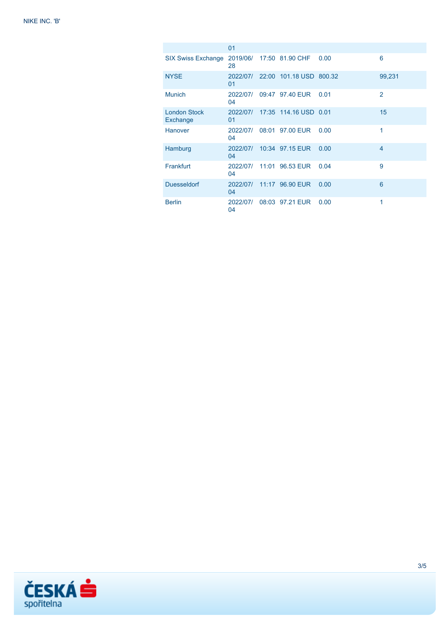|                                 | 01             |                                  |      |                |
|---------------------------------|----------------|----------------------------------|------|----------------|
| <b>SIX Swiss Exchange</b>       | 28             | 2019/06/ 17:50 81.90 CHF         | 0.00 | 6              |
| <b>NYSE</b>                     | 01             | 2022/07/ 22:00 101.18 USD 800.32 |      | 99,231         |
| <b>Munich</b>                   | 04             | 2022/07/ 09:47 97.40 EUR         | 0.01 | $\mathbf{Z}$   |
| <b>London Stock</b><br>Exchange | 01             | 2022/07/ 17:35 114.16 USD 0.01   |      | 15             |
| Hanover                         | 04             | 2022/07/ 08:01 97.00 EUR         | 0.00 | 1              |
| Hamburg                         | 04             | 2022/07/ 10:34 97.15 EUR         | 0.00 | $\overline{4}$ |
| Frankfurt                       | 04             | 2022/07/ 11:01 96.53 EUR         | 0.04 | 9              |
| <b>Duesseldorf</b>              | 2022/07/<br>04 | 11:17 96.90 EUR                  | 0.00 | 6              |
| <b>Berlin</b>                   | 2022/07/<br>04 | 08:03 97.21 EUR                  | 0.00 | 1              |

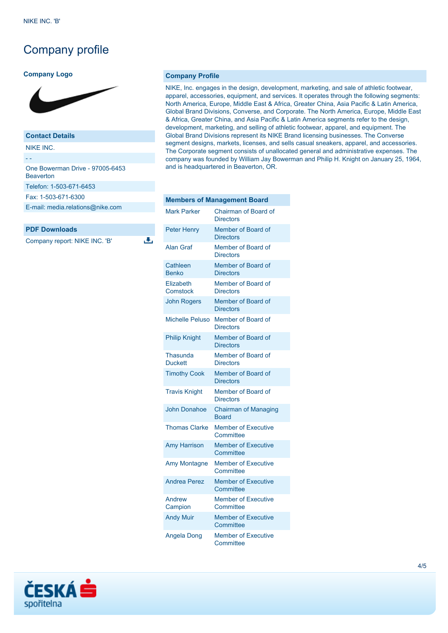## Company profile

#### **Company Logo**



### **Contact Details**

NIKE INC.

- - One Bowerman Drive - 97005-6453 **Beaverton** Telefon: 1-503-671-6453 Fax: 1-503-671-6300 [E-mail: media.relations@nike.com](mailto:media.relations@nike.com)

#### **PDF Downloads**

Company report: NIKE INC. 'B'

**Company Profile**

ىق

NIKE, Inc. engages in the design, development, marketing, and sale of athletic footwear, apparel, accessories, equipment, and services. It operates through the following segments: North America, Europe, Middle East & Africa, Greater China, Asia Pacific & Latin America, Global Brand Divisions, Converse, and Corporate. The North America, Europe, Middle East & Africa, Greater China, and Asia Pacific & Latin America segments refer to the design, development, marketing, and selling of athletic footwear, apparel, and equipment. The Global Brand Divisions represent its NIKE Brand licensing businesses. The Converse segment designs, markets, licenses, and sells casual sneakers, apparel, and accessories. The Corporate segment consists of unallocated general and administrative expenses. The company was founded by William Jay Bowerman and Philip H. Knight on January 25, 1964, and is headquartered in Beaverton, OR.

| <b>Members of Management Board</b> |                                             |  |  |
|------------------------------------|---------------------------------------------|--|--|
| <b>Mark Parker</b>                 | Chairman of Board of<br><b>Directors</b>    |  |  |
| <b>Peter Henry</b>                 | Member of Board of<br><b>Directors</b>      |  |  |
| <b>Alan Graf</b>                   | Member of Board of<br><b>Directors</b>      |  |  |
| Cathleen<br><b>Benko</b>           | Member of Board of<br><b>Directors</b>      |  |  |
| Elizabeth<br>Comstock              | Member of Board of<br><b>Directors</b>      |  |  |
| <b>John Rogers</b>                 | Member of Board of<br><b>Directors</b>      |  |  |
| <b>Michelle Peluso</b>             | Member of Board of<br><b>Directors</b>      |  |  |
| <b>Philip Knight</b>               | Member of Board of<br><b>Directors</b>      |  |  |
| <b>Thasunda</b><br><b>Duckett</b>  | Member of Board of<br><b>Directors</b>      |  |  |
| <b>Timothy Cook</b>                | Member of Board of<br><b>Directors</b>      |  |  |
| <b>Travis Knight</b>               | Member of Board of<br><b>Directors</b>      |  |  |
| <b>John Donahoe</b>                | <b>Chairman of Managing</b><br><b>Board</b> |  |  |
| <b>Thomas Clarke</b>               | <b>Member of Executive</b><br>Committee     |  |  |
| <b>Amy Harrison</b>                | <b>Member of Executive</b><br>Committee     |  |  |
| Amy Montagne                       | <b>Member of Executive</b><br>Committee     |  |  |
| <b>Andrea Perez</b>                | <b>Member of Executive</b><br>Committee     |  |  |
| Andrew<br>Campion                  | <b>Member of Executive</b><br>Committee     |  |  |
| <b>Andy Muir</b>                   | <b>Member of Executive</b><br>Committee     |  |  |
| <b>Angela Dong</b>                 | <b>Member of Executive</b><br>Committee     |  |  |